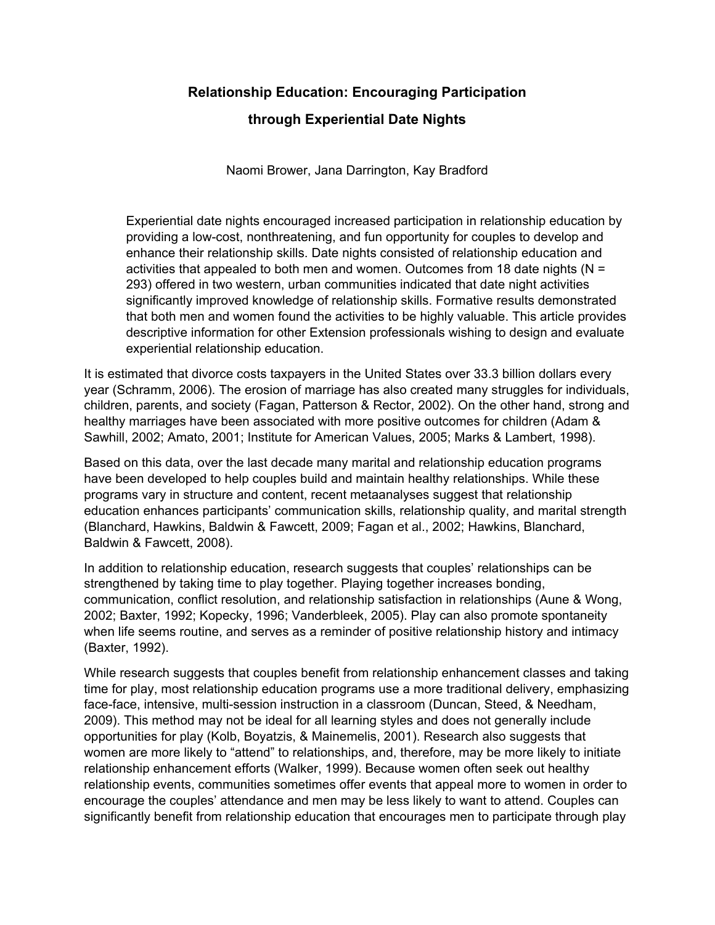# **Relationship Education: Encouraging Participation through Experiential Date Nights**

Naomi Brower, Jana Darrington, Kay Bradford

Experiential date nights encouraged increased participation in relationship education by providing a low-cost, nonthreatening, and fun opportunity for couples to develop and enhance their relationship skills. Date nights consisted of relationship education and activities that appealed to both men and women. Outcomes from 18 date nights ( $N =$ 293) offered in two western, urban communities indicated that date night activities significantly improved knowledge of relationship skills. Formative results demonstrated that both men and women found the activities to be highly valuable. This article provides descriptive information for other Extension professionals wishing to design and evaluate experiential relationship education.

It is estimated that divorce costs taxpayers in the United States over 33.3 billion dollars every year (Schramm, 2006). The erosion of marriage has also created many struggles for individuals, children, parents, and society (Fagan, Patterson & Rector, 2002). On the other hand, strong and healthy marriages have been associated with more positive outcomes for children (Adam & Sawhill, 2002; Amato, 2001; Institute for American Values, 2005; Marks & Lambert, 1998).

Based on this data, over the last decade many marital and relationship education programs have been developed to help couples build and maintain healthy relationships. While these programs vary in structure and content, recent metaanalyses suggest that relationship education enhances participants' communication skills, relationship quality, and marital strength (Blanchard, Hawkins, Baldwin & Fawcett, 2009; Fagan et al., 2002; Hawkins, Blanchard, Baldwin & Fawcett, 2008).

In addition to relationship education, research suggests that couples' relationships can be strengthened by taking time to play together. Playing together increases bonding, communication, conflict resolution, and relationship satisfaction in relationships (Aune & Wong, 2002; Baxter, 1992; Kopecky, 1996; Vanderbleek, 2005). Play can also promote spontaneity when life seems routine, and serves as a reminder of positive relationship history and intimacy (Baxter, 1992).

While research suggests that couples benefit from relationship enhancement classes and taking time for play, most relationship education programs use a more traditional delivery, emphasizing face-face, intensive, multi-session instruction in a classroom (Duncan, Steed, & Needham, 2009). This method may not be ideal for all learning styles and does not generally include opportunities for play (Kolb, Boyatzis, & Mainemelis, 2001). Research also suggests that women are more likely to "attend" to relationships, and, therefore, may be more likely to initiate relationship enhancement efforts (Walker, 1999). Because women often seek out healthy relationship events, communities sometimes offer events that appeal more to women in order to encourage the couples' attendance and men may be less likely to want to attend. Couples can significantly benefit from relationship education that encourages men to participate through play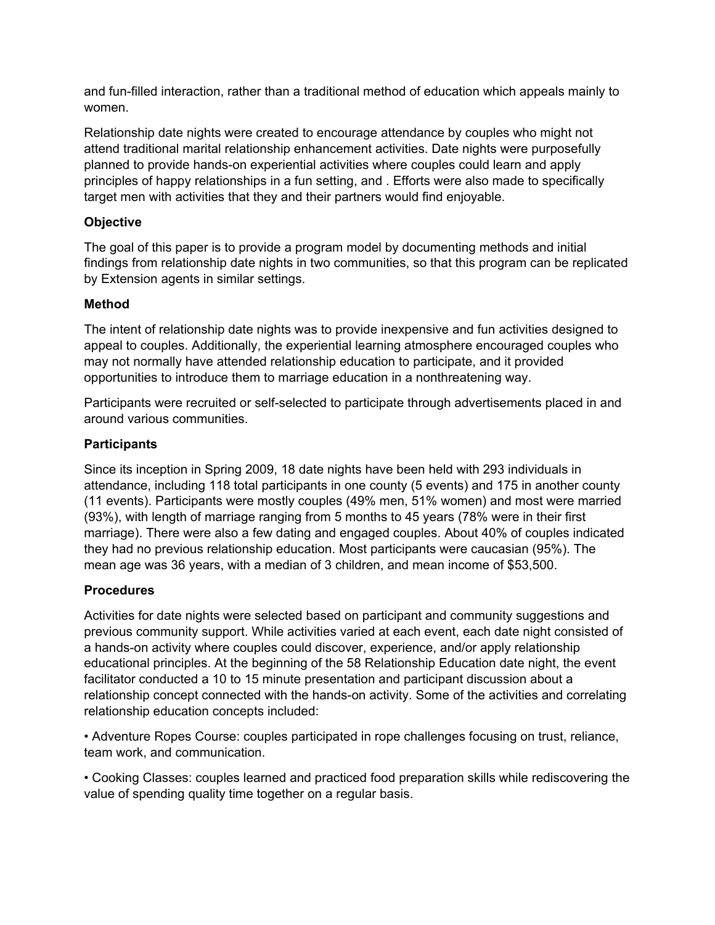and fun-filled interaction, rather than a traditional method of education which appeals mainly to women.

Relationship date nights were created to encourage attendance by couples who might not attend traditional marital relationship enhancement activities. Date nights were purposefully planned to provide hands-on experiential activities where couples could learn and apply principles of happy relationships in a fun setting, and . Efforts were also made to specifically target men with activities that they and their partners would find enjoyable.

## **Objective**

The goal of this paper is to provide a program model by documenting methods and initial findings from relationship date nights in two communities, so that this program can be replicated by Extension agents in similar settings.

### **Method**

The intent of relationship date nights was to provide inexpensive and fun activities designed to appeal to couples. Additionally, the experiential learning atmosphere encouraged couples who may not normally have attended relationship education to participate, and it provided opportunities to introduce them to marriage education in a nonthreatening way.

Participants were recruited or self-selected to participate through advertisements placed in and around various communities.

## **Participants**

Since its inception in Spring 2009, 18 date nights have been held with 293 individuals in attendance, including 118 total participants in one county (5 events) and 175 in another county (11 events). Participants were mostly couples (49% men, 51% women) and most were married (93%), with length of marriage ranging from 5 months to 45 years (78% were in their first marriage). There were also a few dating and engaged couples. About 40% of couples indicated they had no previous relationship education. Most participants were caucasian (95%). The mean age was 36 years, with a median of 3 children, and mean income of \$53,500.

## **Procedures**

Activities for date nights were selected based on participant and community suggestions and previous community support. While activities varied at each event, each date night consisted of a hands-on activity where couples could discover, experience, and/or apply relationship educational principles. At the beginning of the 58 Relationship Education date night, the event facilitator conducted a 10 to 15 minute presentation and participant discussion about a relationship concept connected with the hands-on activity. Some of the activities and correlating relationship education concepts included:

• Adventure Ropes Course: couples participated in rope challenges focusing on trust, reliance, team work, and communication.

• Cooking Classes: couples learned and practiced food preparation skills while rediscovering the value of spending quality time together on a regular basis.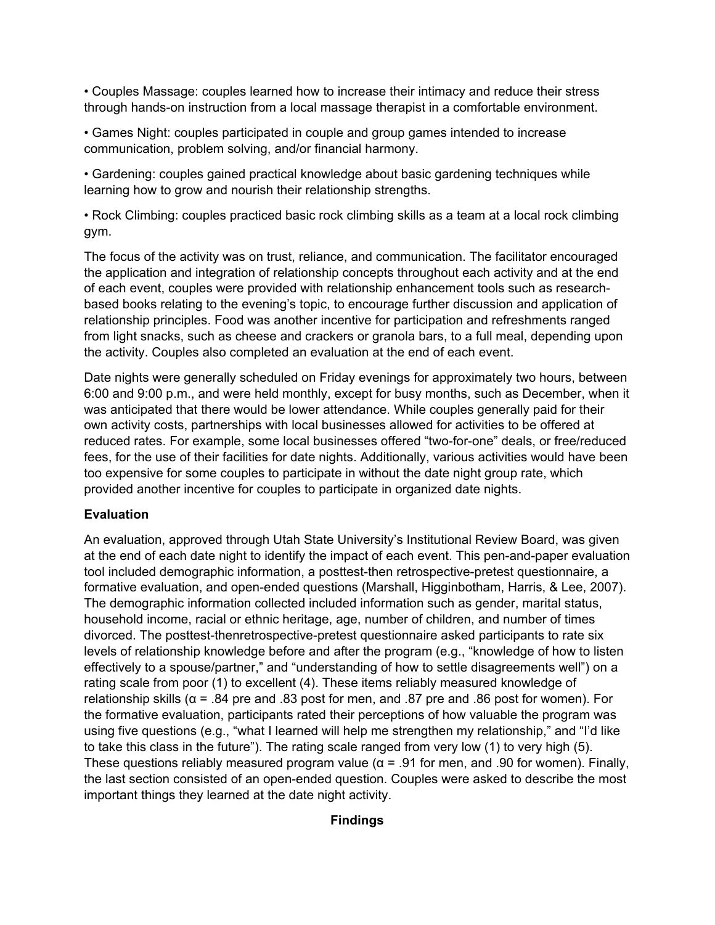• Couples Massage: couples learned how to increase their intimacy and reduce their stress through hands-on instruction from a local massage therapist in a comfortable environment.

• Games Night: couples participated in couple and group games intended to increase communication, problem solving, and/or financial harmony.

• Gardening: couples gained practical knowledge about basic gardening techniques while learning how to grow and nourish their relationship strengths.

• Rock Climbing: couples practiced basic rock climbing skills as a team at a local rock climbing gym.

The focus of the activity was on trust, reliance, and communication. The facilitator encouraged the application and integration of relationship concepts throughout each activity and at the end of each event, couples were provided with relationship enhancement tools such as researchbased books relating to the evening's topic, to encourage further discussion and application of relationship principles. Food was another incentive for participation and refreshments ranged from light snacks, such as cheese and crackers or granola bars, to a full meal, depending upon the activity. Couples also completed an evaluation at the end of each event.

Date nights were generally scheduled on Friday evenings for approximately two hours, between 6:00 and 9:00 p.m., and were held monthly, except for busy months, such as December, when it was anticipated that there would be lower attendance. While couples generally paid for their own activity costs, partnerships with local businesses allowed for activities to be offered at reduced rates. For example, some local businesses offered "two-for-one" deals, or free/reduced fees, for the use of their facilities for date nights. Additionally, various activities would have been too expensive for some couples to participate in without the date night group rate, which provided another incentive for couples to participate in organized date nights.

## **Evaluation**

An evaluation, approved through Utah State University's Institutional Review Board, was given at the end of each date night to identify the impact of each event. This pen-and-paper evaluation tool included demographic information, a posttest-then retrospective-pretest questionnaire, a formative evaluation, and open-ended questions (Marshall, Higginbotham, Harris, & Lee, 2007). The demographic information collected included information such as gender, marital status, household income, racial or ethnic heritage, age, number of children, and number of times divorced. The posttest-thenretrospective-pretest questionnaire asked participants to rate six levels of relationship knowledge before and after the program (e.g., "knowledge of how to listen effectively to a spouse/partner," and "understanding of how to settle disagreements well") on a rating scale from poor (1) to excellent (4). These items reliably measured knowledge of relationship skills ( $\alpha$  = .84 pre and .83 post for men, and .87 pre and .86 post for women). For the formative evaluation, participants rated their perceptions of how valuable the program was using five questions (e.g., "what I learned will help me strengthen my relationship," and "I'd like to take this class in the future"). The rating scale ranged from very low (1) to very high (5). These questions reliably measured program value ( $\alpha$  = .91 for men, and .90 for women). Finally, the last section consisted of an open-ended question. Couples were asked to describe the most important things they learned at the date night activity.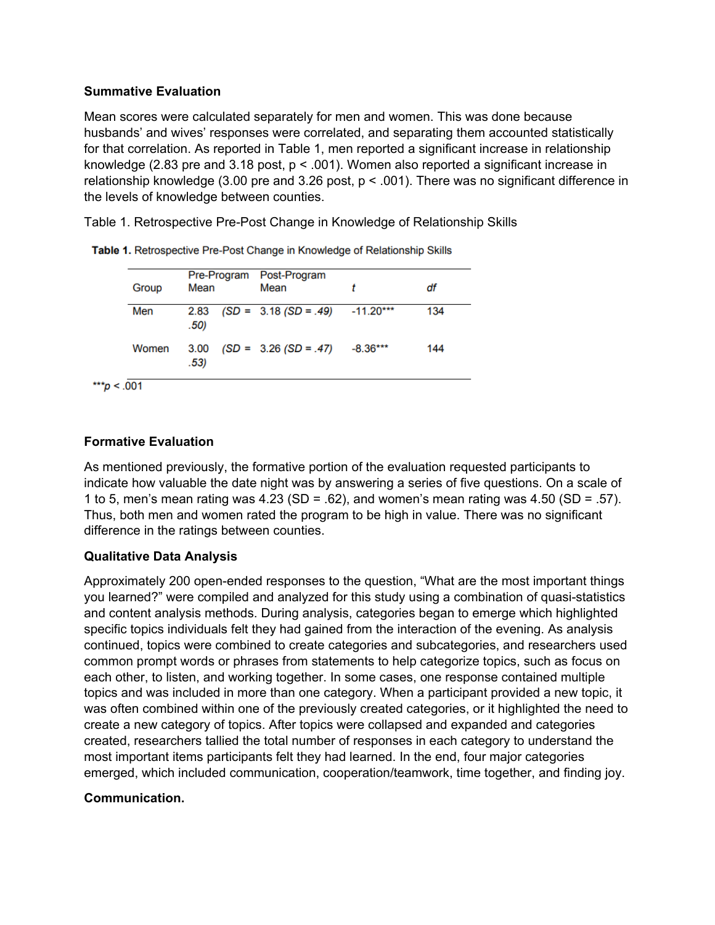### **Summative Evaluation**

Mean scores were calculated separately for men and women. This was done because husbands' and wives' responses were correlated, and separating them accounted statistically for that correlation. As reported in Table 1, men reported a significant increase in relationship knowledge (2.83 pre and 3.18 post, p < .001). Women also reported a significant increase in relationship knowledge (3.00 pre and 3.26 post, p < .001). There was no significant difference in the levels of knowledge between counties.

Table 1. Retrospective Pre-Post Change in Knowledge of Relationship Skills

| Group | Mean         | Pre-Program Post-Program<br>Mean  |            | df  |
|-------|--------------|-----------------------------------|------------|-----|
| Men   | 2.83<br>.50) | $(SD = 3.18 (SD = .49) -11.20***$ |            | 134 |
| Women | 3.00<br>.53) | $(SD = 3.26 (SD = .47))$          | $-8.36***$ | 144 |

| Table 1. Retrospective Pre-Post Change in Knowledge of Relationship Skills |  |  |  |
|----------------------------------------------------------------------------|--|--|--|
|                                                                            |  |  |  |

## **Formative Evaluation**

As mentioned previously, the formative portion of the evaluation requested participants to indicate how valuable the date night was by answering a series of five questions. On a scale of 1 to 5, men's mean rating was 4.23 (SD = .62), and women's mean rating was 4.50 (SD = .57). Thus, both men and women rated the program to be high in value. There was no significant difference in the ratings between counties.

### **Qualitative Data Analysis**

Approximately 200 open-ended responses to the question, "What are the most important things you learned?" were compiled and analyzed for this study using a combination of quasi-statistics and content analysis methods. During analysis, categories began to emerge which highlighted specific topics individuals felt they had gained from the interaction of the evening. As analysis continued, topics were combined to create categories and subcategories, and researchers used common prompt words or phrases from statements to help categorize topics, such as focus on each other, to listen, and working together. In some cases, one response contained multiple topics and was included in more than one category. When a participant provided a new topic, it was often combined within one of the previously created categories, or it highlighted the need to create a new category of topics. After topics were collapsed and expanded and categories created, researchers tallied the total number of responses in each category to understand the most important items participants felt they had learned. In the end, four major categories emerged, which included communication, cooperation/teamwork, time together, and finding joy.

### **Communication.**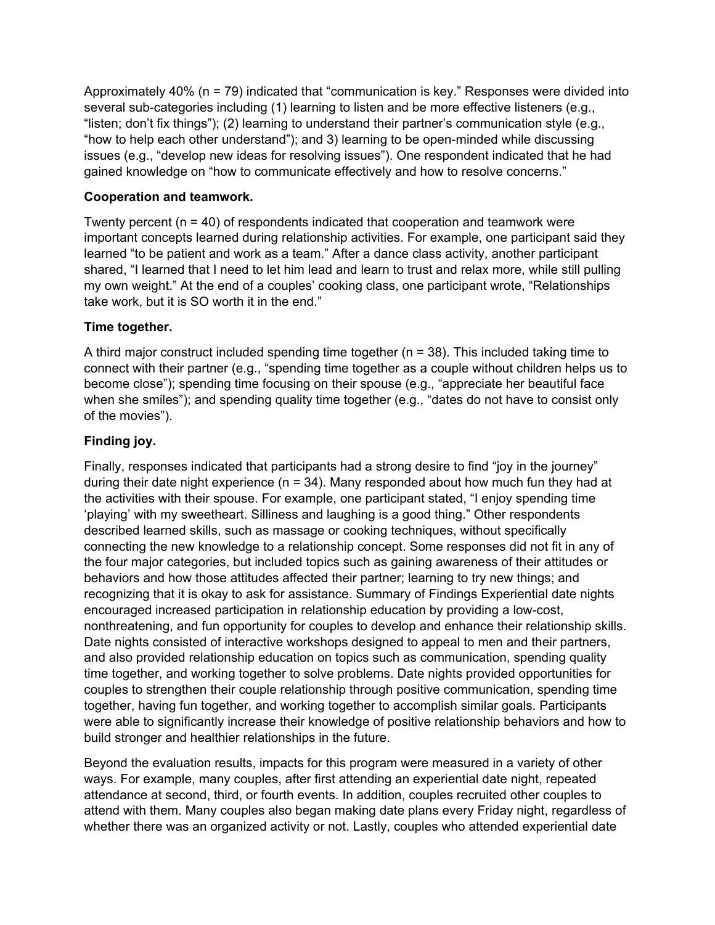Approximately 40% (n = 79) indicated that "communication is key." Responses were divided into several sub-categories including (1) learning to listen and be more effective listeners (e.g., "listen; don't fix things"); (2) learning to understand their partner's communication style (e.g., "how to help each other understand"); and 3) learning to be open-minded while discussing issues (e.g., "develop new ideas for resolving issues"). One respondent indicated that he had gained knowledge on "how to communicate effectively and how to resolve concerns."

## **Cooperation and teamwork.**

Twenty percent  $(n = 40)$  of respondents indicated that cooperation and teamwork were important concepts learned during relationship activities. For example, one participant said they learned "to be patient and work as a team." After a dance class activity, another participant shared, "I learned that I need to let him lead and learn to trust and relax more, while still pulling my own weight." At the end of a couples' cooking class, one participant wrote, "Relationships take work, but it is SO worth it in the end."

## **Time together.**

A third major construct included spending time together ( $n = 38$ ). This included taking time to connect with their partner (e.g., "spending time together as a couple without children helps us to become close"); spending time focusing on their spouse (e.g., "appreciate her beautiful face when she smiles"); and spending quality time together (e.g., "dates do not have to consist only of the movies").

## **Finding joy.**

Finally, responses indicated that participants had a strong desire to find "joy in the journey" during their date night experience ( $n = 34$ ). Many responded about how much fun they had at the activities with their spouse. For example, one participant stated, "I enjoy spending time 'playing' with my sweetheart. Silliness and laughing is a good thing." Other respondents described learned skills, such as massage or cooking techniques, without specifically connecting the new knowledge to a relationship concept. Some responses did not fit in any of the four major categories, but included topics such as gaining awareness of their attitudes or behaviors and how those attitudes affected their partner; learning to try new things; and recognizing that it is okay to ask for assistance. Summary of Findings Experiential date nights encouraged increased participation in relationship education by providing a low-cost, nonthreatening, and fun opportunity for couples to develop and enhance their relationship skills. Date nights consisted of interactive workshops designed to appeal to men and their partners, and also provided relationship education on topics such as communication, spending quality time together, and working together to solve problems. Date nights provided opportunities for couples to strengthen their couple relationship through positive communication, spending time together, having fun together, and working together to accomplish similar goals. Participants were able to significantly increase their knowledge of positive relationship behaviors and how to build stronger and healthier relationships in the future.

Beyond the evaluation results, impacts for this program were measured in a variety of other ways. For example, many couples, after first attending an experiential date night, repeated attendance at second, third, or fourth events. In addition, couples recruited other couples to attend with them. Many couples also began making date plans every Friday night, regardless of whether there was an organized activity or not. Lastly, couples who attended experiential date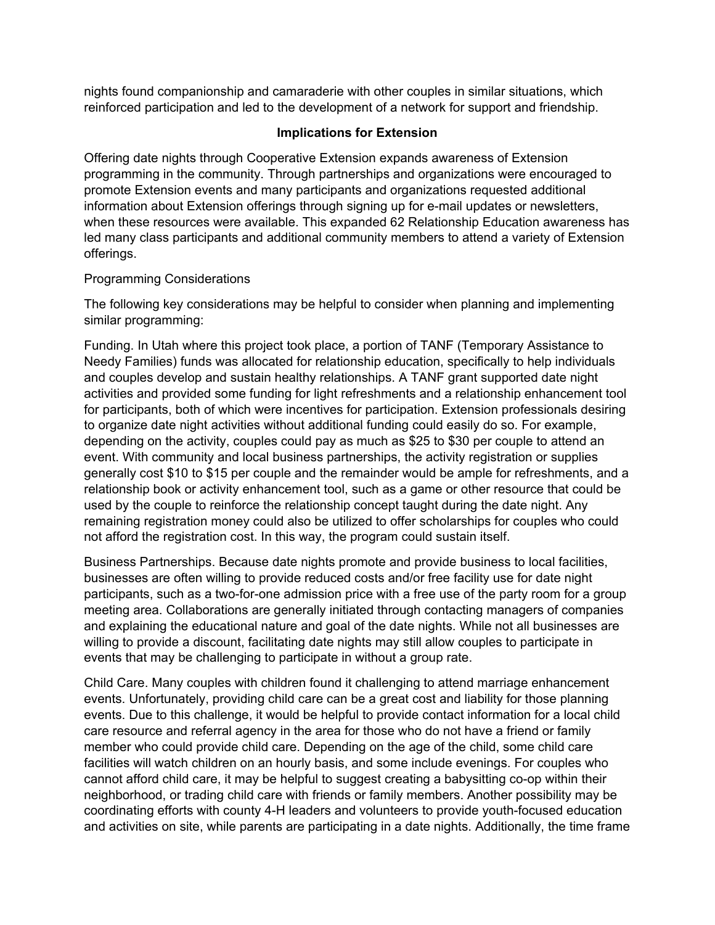nights found companionship and camaraderie with other couples in similar situations, which reinforced participation and led to the development of a network for support and friendship.

#### **Implications for Extension**

Offering date nights through Cooperative Extension expands awareness of Extension programming in the community. Through partnerships and organizations were encouraged to promote Extension events and many participants and organizations requested additional information about Extension offerings through signing up for e-mail updates or newsletters, when these resources were available. This expanded 62 Relationship Education awareness has led many class participants and additional community members to attend a variety of Extension offerings.

### Programming Considerations

The following key considerations may be helpful to consider when planning and implementing similar programming:

Funding. In Utah where this project took place, a portion of TANF (Temporary Assistance to Needy Families) funds was allocated for relationship education, specifically to help individuals and couples develop and sustain healthy relationships. A TANF grant supported date night activities and provided some funding for light refreshments and a relationship enhancement tool for participants, both of which were incentives for participation. Extension professionals desiring to organize date night activities without additional funding could easily do so. For example, depending on the activity, couples could pay as much as \$25 to \$30 per couple to attend an event. With community and local business partnerships, the activity registration or supplies generally cost \$10 to \$15 per couple and the remainder would be ample for refreshments, and a relationship book or activity enhancement tool, such as a game or other resource that could be used by the couple to reinforce the relationship concept taught during the date night. Any remaining registration money could also be utilized to offer scholarships for couples who could not afford the registration cost. In this way, the program could sustain itself.

Business Partnerships. Because date nights promote and provide business to local facilities, businesses are often willing to provide reduced costs and/or free facility use for date night participants, such as a two-for-one admission price with a free use of the party room for a group meeting area. Collaborations are generally initiated through contacting managers of companies and explaining the educational nature and goal of the date nights. While not all businesses are willing to provide a discount, facilitating date nights may still allow couples to participate in events that may be challenging to participate in without a group rate.

Child Care. Many couples with children found it challenging to attend marriage enhancement events. Unfortunately, providing child care can be a great cost and liability for those planning events. Due to this challenge, it would be helpful to provide contact information for a local child care resource and referral agency in the area for those who do not have a friend or family member who could provide child care. Depending on the age of the child, some child care facilities will watch children on an hourly basis, and some include evenings. For couples who cannot afford child care, it may be helpful to suggest creating a babysitting co-op within their neighborhood, or trading child care with friends or family members. Another possibility may be coordinating efforts with county 4-H leaders and volunteers to provide youth-focused education and activities on site, while parents are participating in a date nights. Additionally, the time frame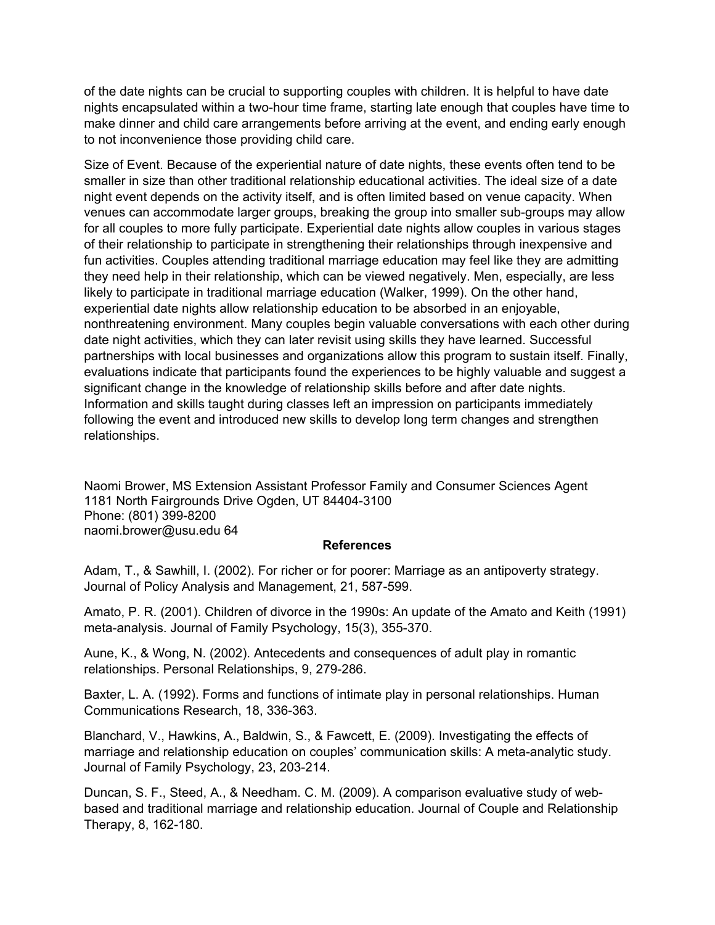of the date nights can be crucial to supporting couples with children. It is helpful to have date nights encapsulated within a two-hour time frame, starting late enough that couples have time to make dinner and child care arrangements before arriving at the event, and ending early enough to not inconvenience those providing child care.

Size of Event. Because of the experiential nature of date nights, these events often tend to be smaller in size than other traditional relationship educational activities. The ideal size of a date night event depends on the activity itself, and is often limited based on venue capacity. When venues can accommodate larger groups, breaking the group into smaller sub-groups may allow for all couples to more fully participate. Experiential date nights allow couples in various stages of their relationship to participate in strengthening their relationships through inexpensive and fun activities. Couples attending traditional marriage education may feel like they are admitting they need help in their relationship, which can be viewed negatively. Men, especially, are less likely to participate in traditional marriage education (Walker, 1999). On the other hand, experiential date nights allow relationship education to be absorbed in an enjoyable, nonthreatening environment. Many couples begin valuable conversations with each other during date night activities, which they can later revisit using skills they have learned. Successful partnerships with local businesses and organizations allow this program to sustain itself. Finally, evaluations indicate that participants found the experiences to be highly valuable and suggest a significant change in the knowledge of relationship skills before and after date nights. Information and skills taught during classes left an impression on participants immediately following the event and introduced new skills to develop long term changes and strengthen relationships.

Naomi Brower, MS Extension Assistant Professor Family and Consumer Sciences Agent 1181 North Fairgrounds Drive Ogden, UT 84404-3100 Phone: (801) 399-8200 naomi.brower@usu.edu 64

#### **References**

Adam, T., & Sawhill, I. (2002). For richer or for poorer: Marriage as an antipoverty strategy. Journal of Policy Analysis and Management, 21, 587-599.

Amato, P. R. (2001). Children of divorce in the 1990s: An update of the Amato and Keith (1991) meta-analysis. Journal of Family Psychology, 15(3), 355-370.

Aune, K., & Wong, N. (2002). Antecedents and consequences of adult play in romantic relationships. Personal Relationships, 9, 279-286.

Baxter, L. A. (1992). Forms and functions of intimate play in personal relationships. Human Communications Research, 18, 336-363.

Blanchard, V., Hawkins, A., Baldwin, S., & Fawcett, E. (2009). Investigating the effects of marriage and relationship education on couples' communication skills: A meta-analytic study. Journal of Family Psychology, 23, 203-214.

Duncan, S. F., Steed, A., & Needham. C. M. (2009). A comparison evaluative study of webbased and traditional marriage and relationship education. Journal of Couple and Relationship Therapy, 8, 162-180.